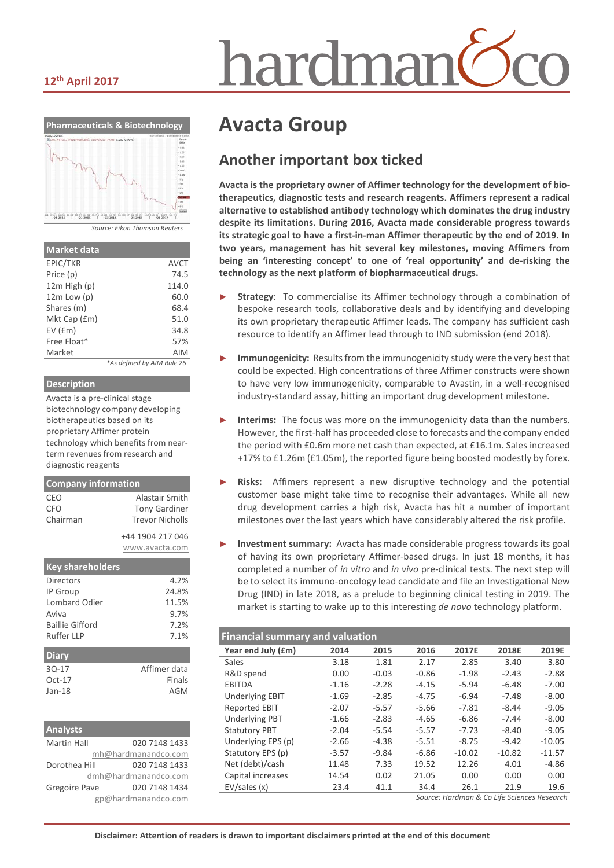# nardmar

#### **12th April 2017**



| <b>Market data</b> |                            |
|--------------------|----------------------------|
| EPIC/TKR           | <b>AVCT</b>                |
| Price (p)          | 74.5                       |
| $12m$ High $(p)$   | 114.0                      |
| $12m$ Low $(p)$    | 60.0                       |
| Shares (m)         | 68.4                       |
| Mkt Cap (£m)       | 51.0                       |
| $EV$ ( $Em$ )      | 34.8                       |
| Free Float*        | 57%                        |
| Market             | <b>AIM</b>                 |
|                    | *As defined by AIM Rule 26 |

#### **Description**

Avacta is a pre-clinical stage biotechnology company developing biotherapeutics based on its proprietary Affimer protein technology which benefits from nearterm revenues from research and diagnostic reagents

| <b>Company information</b>    |                                                                  |
|-------------------------------|------------------------------------------------------------------|
| CEO<br><b>CFO</b><br>Chairman | Alastair Smith<br><b>Tony Gardiner</b><br><b>Trevor Nicholls</b> |
|                               | +44 1904 217 046<br>www.avacta.com                               |
| <b>Key shareholders</b>       |                                                                  |
|                               |                                                                  |

| Directors       | 4.2%         |
|-----------------|--------------|
| IP Group        | 24.8%        |
| Lombard Odier   | 11.5%        |
| Aviva           | 9.7%         |
| Baillie Gifford | 7.2%         |
| Ruffer IIP      | 7.1%         |
|                 |              |
| <b>Diary</b>    |              |
| $30-17$         | Affimer data |
| $Oct-17$        | Finals       |
| $Jan-18$        | AGM          |
|                 |              |

| Analysts           |                      |
|--------------------|----------------------|
| <b>Martin Hall</b> | 020 7148 1433        |
|                    | mh@hardmanandco.com  |
| Dorothea Hill      | 020 7148 1433        |
|                    | dmh@hardmanandco.com |
| Gregoire Pave      | 020 7148 1434        |
|                    | gp@hardmanandco.com  |

# **Avacta Group**

## **Another important box ticked**

**Avacta is the proprietary owner of Affimer technology for the development of biotherapeutics, diagnostic tests and research reagents. Affimers represent a radical alternative to established antibody technology which dominates the drug industry despite its limitations. During 2016, Avacta made considerable progress towards its strategic goal to have a first-in-man Affimer therapeutic by the end of 2019. In two years, management has hit several key milestones, moving Affimers from being an 'interesting concept' to one of 'real opportunity' and de-risking the technology as the next platform of biopharmaceutical drugs.** 

- Strategy: To commercialise its Affimer technology through a combination of bespoke research tools, collaborative deals and by identifying and developing its own proprietary therapeutic Affimer leads. The company has sufficient cash resource to identify an Affimer lead through to IND submission (end 2018).
- **Immunogenicity:** Results from the immunogenicity study were the very best that could be expected. High concentrations of three Affimer constructs were shown to have very low immunogenicity, comparable to Avastin, in a well-recognised industry-standard assay, hitting an important drug development milestone.
- Interims: The focus was more on the immunogenicity data than the numbers. However, the first-half has proceeded close to forecasts and the company ended the period with £0.6m more net cash than expected, at £16.1m. Sales increased +17% to £1.26m (£1.05m), the reported figure being boosted modestly by forex.
- Risks: Affimers represent a new disruptive technology and the potential customer base might take time to recognise their advantages. While all new drug development carries a high risk, Avacta has hit a number of important milestones over the last years which have considerably altered the risk profile.
- **Investment summary:** Avacta has made considerable progress towards its goal of having its own proprietary Affimer-based drugs. In just 18 months, it has completed a number of *in vitro* and *in vivo* pre-clinical tests. The next step will be to select its immuno-oncology lead candidate and file an Investigational New Drug (IND) in late 2018, as a prelude to beginning clinical testing in 2019. The market is starting to wake up to this interesting *de novo* technology platform.

| <b>Financial summary and valuation</b> |         |         |         |          |          |          |  |  |
|----------------------------------------|---------|---------|---------|----------|----------|----------|--|--|
| Year end July (£m)                     | 2014    | 2015    | 2016    | 2017E    | 2018E    | 2019E    |  |  |
| <b>Sales</b>                           | 3.18    | 1.81    | 2.17    | 2.85     | 3.40     | 3.80     |  |  |
| R&D spend                              | 0.00    | $-0.03$ | $-0.86$ | $-1.98$  | $-2.43$  | $-2.88$  |  |  |
| <b>EBITDA</b>                          | $-1.16$ | $-2.28$ | $-4.15$ | $-5.94$  | $-6.48$  | $-7.00$  |  |  |
| <b>Underlying EBIT</b>                 | $-1.69$ | $-2.85$ | $-4.75$ | $-6.94$  | $-7.48$  | $-8.00$  |  |  |
| <b>Reported EBIT</b>                   | $-2.07$ | $-5.57$ | $-5.66$ | $-7.81$  | $-8.44$  | $-9.05$  |  |  |
| <b>Underlying PBT</b>                  | $-1.66$ | $-2.83$ | $-4.65$ | $-6.86$  | $-7.44$  | $-8.00$  |  |  |
| <b>Statutory PBT</b>                   | $-2.04$ | $-5.54$ | $-5.57$ | $-7.73$  | $-8.40$  | $-9.05$  |  |  |
| Underlying EPS (p)                     | $-2.66$ | $-4.38$ | $-5.51$ | $-8.75$  | $-9.42$  | $-10.05$ |  |  |
| Statutory EPS (p)                      | $-3.57$ | $-9.84$ | $-6.86$ | $-10.02$ | $-10.82$ | $-11.57$ |  |  |
| Net (debt)/cash                        | 11.48   | 7.33    | 19.52   | 12.26    | 4.01     | $-4.86$  |  |  |
| Capital increases                      | 14.54   | 0.02    | 21.05   | 0.00     | 0.00     | 0.00     |  |  |
| EV/sales(x)                            | 23.4    | 41.1    | 34.4    | 26.1     | 21.9     | 19.6     |  |  |

*Source: Hardman & Co Life Sciences Research*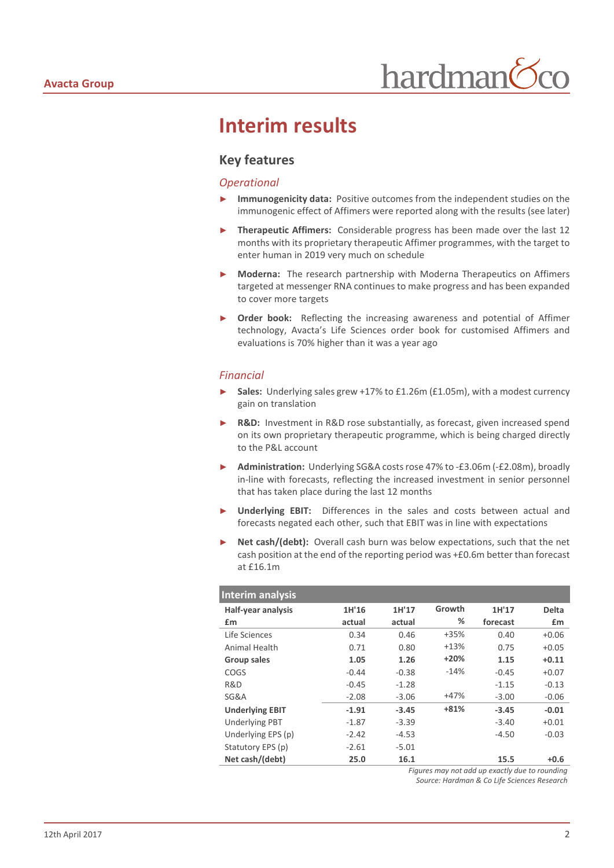# **Interim results**

#### **Key features**

#### *Operational*

- **Immunogenicity data:** Positive outcomes from the independent studies on the immunogenic effect of Affimers were reported along with the results (see later)
- ► **Therapeutic Affimers:** Considerable progress has been made over the last 12 months with its proprietary therapeutic Affimer programmes, with the target to enter human in 2019 very much on schedule
- **Moderna:** The research partnership with Moderna Therapeutics on Affimers targeted at messenger RNA continues to make progress and has been expanded to cover more targets
- **Order book:** Reflecting the increasing awareness and potential of Affimer technology, Avacta's Life Sciences order book for customised Affimers and evaluations is 70% higher than it was a year ago

#### *Financial*

- Sales: Underlying sales grew +17% to £1.26m (£1.05m), with a modest currency gain on translation
- **R&D:** Investment in R&D rose substantially, as forecast, given increased spend on its own proprietary therapeutic programme, which is being charged directly to the P&L account
- ► **Administration:** Underlying SG&A costs rose 47% to -£3.06m (-£2.08m), broadly in-line with forecasts, reflecting the increased investment in senior personnel that has taken place during the last 12 months
- Underlying EBIT: Differences in the sales and costs between actual and forecasts negated each other, such that EBIT was in line with expectations
- Net cash/(debt): Overall cash burn was below expectations, such that the net cash position at the end of the reporting period was +£0.6m better than forecast at £16.1m

| Interim analysis          |         |         |        |          |              |
|---------------------------|---------|---------|--------|----------|--------------|
| <b>Half-year analysis</b> | 1H'16   | 1H'17   | Growth | 1H'17    | <b>Delta</b> |
| £m                        | actual  | actual  | ℅      | forecast | £m           |
| Life Sciences             | 0.34    | 0.46    | $+35%$ | 0.40     | $+0.06$      |
| Animal Health             | 0.71    | 0.80    | $+13%$ | 0.75     | $+0.05$      |
| Group sales               | 1.05    | 1.26    | $+20%$ | 1.15     | $+0.11$      |
| <b>COGS</b>               | $-0.44$ | $-0.38$ | $-14%$ | $-0.45$  | $+0.07$      |
| R&D                       | $-0.45$ | $-1.28$ |        | $-1.15$  | $-0.13$      |
| SG&A                      | $-2.08$ | $-3.06$ | $+47%$ | $-3.00$  | $-0.06$      |
| <b>Underlying EBIT</b>    | $-1.91$ | $-3.45$ | $+81%$ | $-3.45$  | $-0.01$      |
| <b>Underlying PBT</b>     | $-1.87$ | $-3.39$ |        | $-3.40$  | $+0.01$      |
| Underlying EPS (p)        | $-2.42$ | $-4.53$ |        | $-4.50$  | $-0.03$      |
| Statutory EPS (p)         | $-2.61$ | $-5.01$ |        |          |              |
| Net cash/(debt)           | 25.0    | 16.1    |        | 15.5     | $+0.6$       |

*Figures may not add up exactly due to rounding Source: Hardman & Co Life Sciences Research*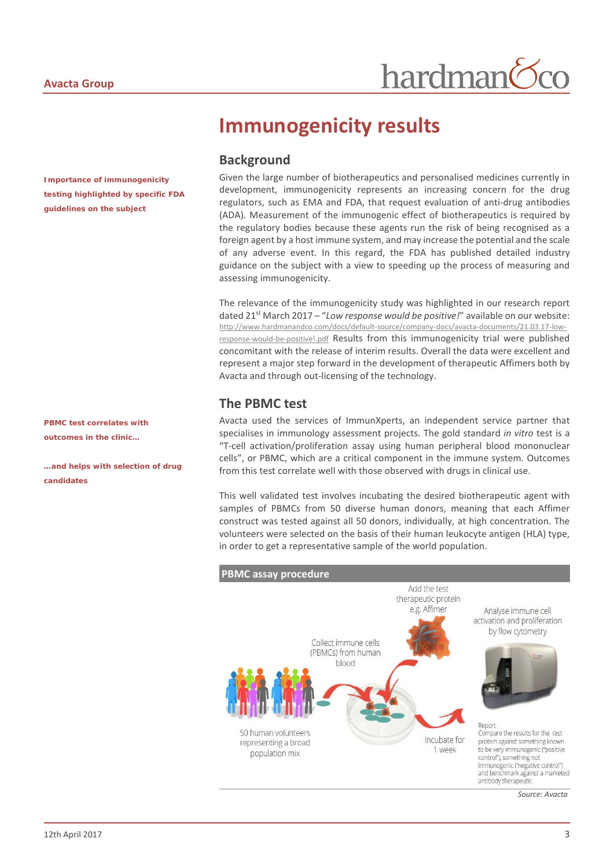*Importance of immunogenicity testing highlighted by specific FDA guidelines on the subject*

*PBMC test correlates with outcomes in the clinic…*

*…and helps with selection of drug candidates* 

# **Immunogenicity results**

## **Background**

Given the large number of biotherapeutics and personalised medicines currently in development, immunogenicity represents an increasing concern for the drug regulators, such as EMA and FDA, that request evaluation of anti-drug antibodies (ADA). Measurement of the immunogenic effect of biotherapeutics is required by the regulatory bodies because these agents run the risk of being recognised as a foreign agent by a host immune system, and may increase the potential and the scale of any adverse event. In this regard, the FDA has published detailed industry guidance on the subject with a view to speeding up the process of measuring and assessing immunogenicity.

The relevance of the immunogenicity study was highlighted in our research report dated 21st March 2017 – "*Low response would be positive!*" available on our website: [http://www.hardmanandco.com/docs/default-source/company-docs/avacta-documents/21.03.17-low](http://www.hardmanandco.com/docs/default-source/company-docs/avacta-documents/21.03.17-low-response-would-be-positive!.pdf)[response-would-be-positive!.pdf](http://www.hardmanandco.com/docs/default-source/company-docs/avacta-documents/21.03.17-low-response-would-be-positive!.pdf) Results from this immunogenicity trial were published concomitant with the release of interim results. Overall the data were excellent and represent a major step forward in the development of therapeutic Affimers both by Avacta and through out-licensing of the technology.

### **The PBMC test**

Avacta used the services of ImmunXperts, an independent service partner that specialises in immunology assessment projects. The gold standard *in vitro* test is a "T-cell activation/proliferation assay using human peripheral blood mononuclear cells", or PBMC, which are a critical component in the immune system. Outcomes from this test correlate well with those observed with drugs in clinical use.

This well validated test involves incubating the desired biotherapeutic agent with samples of PBMCs from 50 diverse human donors, meaning that each Affimer construct was tested against all 50 donors, individually, at high concentration. The volunteers were selected on the basis of their human leukocyte antigen (HLA) type, in order to get a representative sample of the world population.

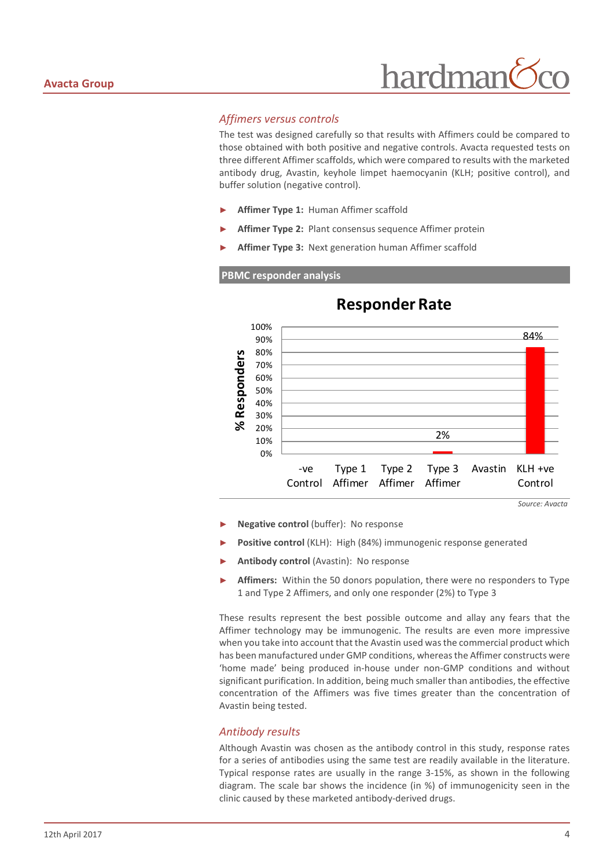#### *Affimers versus controls*

The test was designed carefully so that results with Affimers could be compared to those obtained with both positive and negative controls. Avacta requested tests on three different Affimer scaffolds, which were compared to results with the marketed antibody drug, Avastin, keyhole limpet haemocyanin (KLH; positive control), and buffer solution (negative control).

- Affimer Type 1: Human Affimer scaffold
- Affimer Type 2: Plant consensus sequence Affimer protein
- Affimer Type 3: Next generation human Affimer scaffold

#### **PBMC responder analysis**



## **Responder Rate**

- ► **Negative control** (buffer): No response
- ► **Positive control** (KLH): High (84%) immunogenic response generated
- Antibody control (Avastin): No response
- Affimers: Within the 50 donors population, there were no responders to Type 1 and Type 2 Affimers, and only one responder (2%) to Type 3

These results represent the best possible outcome and allay any fears that the Affimer technology may be immunogenic. The results are even more impressive when you take into account that the Avastin used was the commercial product which has been manufactured under GMP conditions, whereas the Affimer constructs were 'home made' being produced in-house under non-GMP conditions and without significant purification. In addition, being much smaller than antibodies, the effective concentration of the Affimers was five times greater than the concentration of Avastin being tested.

#### *Antibody results*

Although Avastin was chosen as the antibody control in this study, response rates for a series of antibodies using the same test are readily available in the literature. Typical response rates are usually in the range 3-15%, as shown in the following diagram. The scale bar shows the incidence (in %) of immunogenicity seen in the clinic caused by these marketed antibody-derived drugs.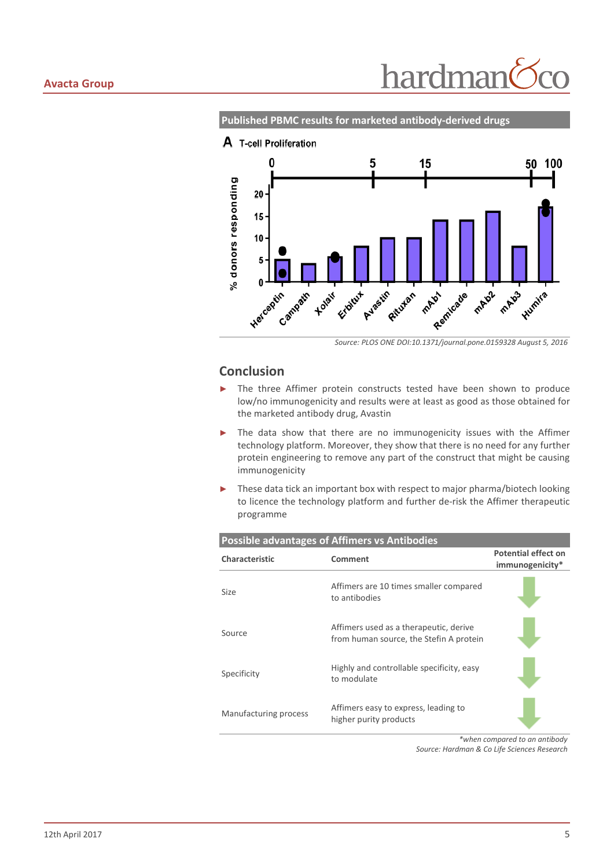**Published PBMC results for marketed antibody-derived drugs**



#### **Conclusion**

- ► The three Affimer protein constructs tested have been shown to produce low/no immunogenicity and results were at least as good as those obtained for the marketed antibody drug, Avastin
- ► The data show that there are no immunogenicity issues with the Affimer technology platform. Moreover, they show that there is no need for any further protein engineering to remove any part of the construct that might be causing immunogenicity
- These data tick an important box with respect to major pharma/biotech looking to licence the technology platform and further de-risk the Affimer therapeutic programme

| <b>Possible advantages of Affimers vs Antibodies</b> |                                                                                   |                                               |  |  |  |  |
|------------------------------------------------------|-----------------------------------------------------------------------------------|-----------------------------------------------|--|--|--|--|
| Characteristic                                       | Comment                                                                           | <b>Potential effect on</b><br>immunogenicity* |  |  |  |  |
| Size                                                 | Affimers are 10 times smaller compared<br>to antibodies                           |                                               |  |  |  |  |
| Source                                               | Affimers used as a therapeutic, derive<br>from human source, the Stefin A protein |                                               |  |  |  |  |
| Specificity                                          | Highly and controllable specificity, easy<br>to modulate                          |                                               |  |  |  |  |
| Manufacturing process                                | Affimers easy to express, leading to<br>higher purity products                    |                                               |  |  |  |  |

*\*when compared to an antibody Source: Hardman & Co Life Sciences Research*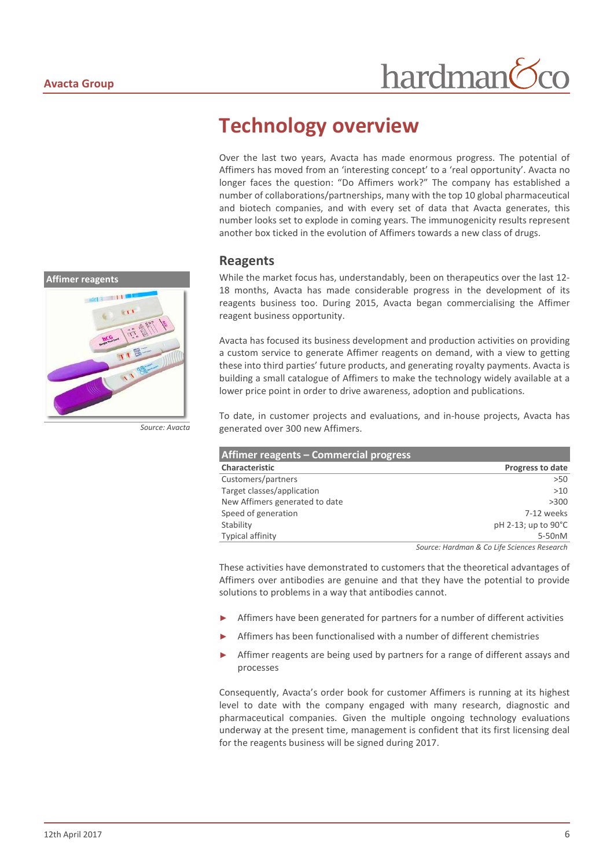

*Source: Avacta*

# **Technology overview**

Over the last two years, Avacta has made enormous progress. The potential of Affimers has moved from an 'interesting concept' to a 'real opportunity'. Avacta no longer faces the question: "Do Affimers work?" The company has established a number of collaborations/partnerships, many with the top 10 global pharmaceutical and biotech companies, and with every set of data that Avacta generates, this number looks set to explode in coming years. The immunogenicity results represent another box ticked in the evolution of Affimers towards a new class of drugs.

hardman

#### **Reagents**

While the market focus has, understandably, been on therapeutics over the last 12- 18 months, Avacta has made considerable progress in the development of its reagents business too. During 2015, Avacta began commercialising the Affimer reagent business opportunity.

Avacta has focused its business development and production activities on providing a custom service to generate Affimer reagents on demand, with a view to getting these into third parties' future products, and generating royalty payments. Avacta is building a small catalogue of Affimers to make the technology widely available at a lower price point in order to drive awareness, adoption and publications.

To date, in customer projects and evaluations, and in-house projects, Avacta has generated over 300 new Affimers.

| Affimer reagents – Commercial progress |                         |
|----------------------------------------|-------------------------|
| Characteristic                         | <b>Progress to date</b> |
| Customers/partners                     | >50                     |
| Target classes/application             | >10                     |
| New Affimers generated to date         | >300                    |
| Speed of generation                    | 7-12 weeks              |
| Stability                              | pH 2-13; up to 90°C     |
| <b>Typical affinity</b>                | 5-50nM                  |

*Source: Hardman & Co Life Sciences Research*

These activities have demonstrated to customers that the theoretical advantages of Affimers over antibodies are genuine and that they have the potential to provide solutions to problems in a way that antibodies cannot.

- Affimers have been generated for partners for a number of different activities
- Affimers has been functionalised with a number of different chemistries
- Affimer reagents are being used by partners for a range of different assays and processes

Consequently, Avacta's order book for customer Affimers is running at its highest level to date with the company engaged with many research, diagnostic and pharmaceutical companies. Given the multiple ongoing technology evaluations underway at the present time, management is confident that its first licensing deal for the reagents business will be signed during 2017.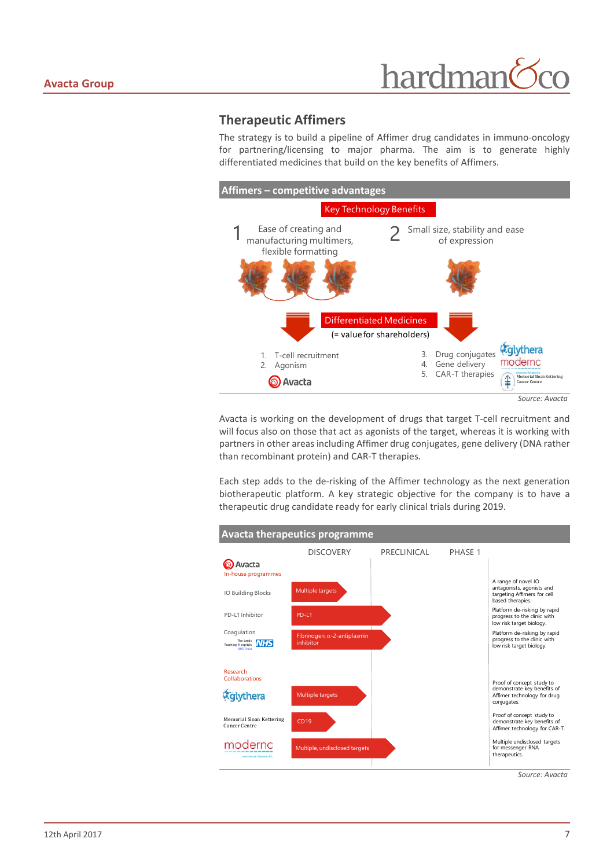#### **Therapeutic Affimers**

The strategy is to build a pipeline of Affimer drug candidates in immuno-oncology for partnering/licensing to major pharma. The aim is to generate highly differentiated medicines that build on the key benefits of Affimers.



Avacta is working on the development of drugs that target T-cell recruitment and will focus also on those that act as agonists of the target, whereas it is working with partners in other areas including Affimer drug conjugates, gene delivery (DNA rather than recombinant protein) and CAR-T therapies.

Each step adds to the de-risking of the Affimer technology as the next generation biotherapeutic platform. A key strategic objective for the company is to have a therapeutic drug candidate ready for early clinical trials during 2019.

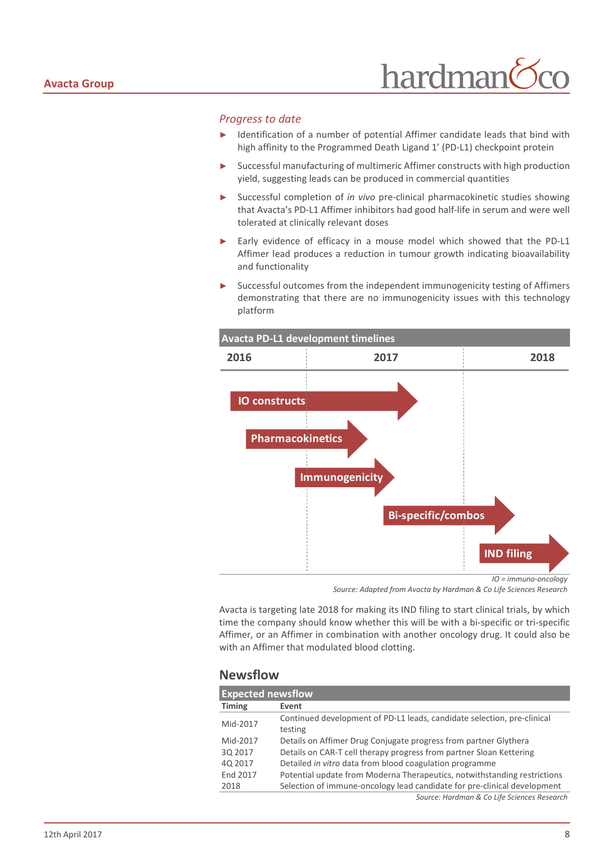#### *Progress to date*

- ► Identification of a number of potential Affimer candidate leads that bind with high affinity to the Programmed Death Ligand 1' (PD-L1) checkpoint protein
- ► Successful manufacturing of multimeric Affimer constructs with high production yield, suggesting leads can be produced in commercial quantities
- Successful completion of *in vivo* pre-clinical pharmacokinetic studies showing that Avacta's PD-L1 Affimer inhibitors had good half-life in serum and were well tolerated at clinically relevant doses
- Early evidence of efficacy in a mouse model which showed that the PD-L1 Affimer lead produces a reduction in tumour growth indicating bioavailability and functionality
- Successful outcomes from the independent immunogenicity testing of Affimers demonstrating that there are no immunogenicity issues with this technology platform



*Source: Adapted from Avacta by Hardman & Co Life Sciences Research*

Avacta is targeting late 2018 for making its IND filing to start clinical trials, by which time the company should know whether this will be with a bi-specific or tri-specific Affimer, or an Affimer in combination with another oncology drug. It could also be with an Affimer that modulated blood clotting.

#### **Newsflow**

| <b>Expected newsflow</b> |                                                                                    |  |  |  |  |
|--------------------------|------------------------------------------------------------------------------------|--|--|--|--|
| <b>Timing</b>            | Event                                                                              |  |  |  |  |
| Mid-2017                 | Continued development of PD-L1 leads, candidate selection, pre-clinical<br>testing |  |  |  |  |
| Mid-2017                 | Details on Affimer Drug Conjugate progress from partner Glythera                   |  |  |  |  |
| 30 2017                  | Details on CAR-T cell therapy progress from partner Sloan Kettering                |  |  |  |  |
| 40 2017                  | Detailed in vitro data from blood coagulation programme                            |  |  |  |  |
| End 2017                 | Potential update from Moderna Therapeutics, notwithstanding restrictions           |  |  |  |  |
| 2018                     | Selection of immune-oncology lead candidate for pre-clinical development           |  |  |  |  |
|                          | Source: Hardman & Co Life Sciences Research                                        |  |  |  |  |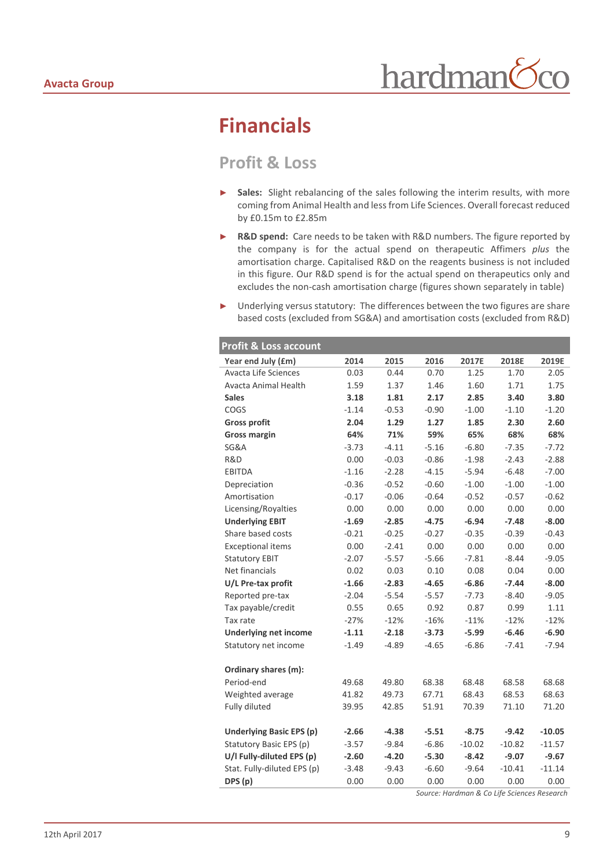# **Financials**

## **Profit & Loss**

- ► **Sales:** Slight rebalancing of the sales following the interim results, with more coming from Animal Health and less from Life Sciences. Overall forecast reduced by £0.15m to £2.85m
- ► **R&D spend:** Care needs to be taken with R&D numbers. The figure reported by the company is for the actual spend on therapeutic Affimers *plus* the amortisation charge. Capitalised R&D on the reagents business is not included in this figure. Our R&D spend is for the actual spend on therapeutics only and excludes the non-cash amortisation charge (figures shown separately in table)
- ► Underlying versus statutory: The differences between the two figures are share based costs (excluded from SG&A) and amortisation costs (excluded from R&D)

| <b>Profit &amp; Loss account</b> |         |         |         |          |           |          |
|----------------------------------|---------|---------|---------|----------|-----------|----------|
| Year end July (£m)               | 2014    | 2015    | 2016    | 2017E    | 2018E     | 2019E    |
| <b>Avacta Life Sciences</b>      | 0.03    | 0.44    | 0.70    | 1.25     | 1.70      | 2.05     |
| Avacta Animal Health             | 1.59    | 1.37    | 1.46    | 1.60     | 1.71      | 1.75     |
| <b>Sales</b>                     | 3.18    | 1.81    | 2.17    | 2.85     | 3.40      | 3.80     |
| COGS                             | $-1.14$ | $-0.53$ | $-0.90$ | $-1.00$  | $-1.10$   | $-1.20$  |
| <b>Gross profit</b>              | 2.04    | 1.29    | 1.27    | 1.85     | 2.30      | 2.60     |
| <b>Gross margin</b>              | 64%     | 71%     | 59%     | 65%      | 68%       | 68%      |
| SG&A                             | $-3.73$ | $-4.11$ | $-5.16$ | $-6.80$  | $-7.35$   | $-7.72$  |
| R&D                              | 0.00    | $-0.03$ | $-0.86$ | $-1.98$  | $-2.43$   | $-2.88$  |
| <b>EBITDA</b>                    | $-1.16$ | $-2.28$ | $-4.15$ | $-5.94$  | $-6.48$   | $-7.00$  |
| Depreciation                     | $-0.36$ | $-0.52$ | $-0.60$ | $-1.00$  | $-1.00$   | $-1.00$  |
| Amortisation                     | $-0.17$ | $-0.06$ | $-0.64$ | $-0.52$  | $-0.57$   | $-0.62$  |
| Licensing/Royalties              | 0.00    | 0.00    | 0.00    | 0.00     | 0.00      | 0.00     |
| <b>Underlying EBIT</b>           | $-1.69$ | $-2.85$ | $-4.75$ | $-6.94$  | $-7.48$   | $-8.00$  |
| Share based costs                | $-0.21$ | $-0.25$ | $-0.27$ | $-0.35$  | $-0.39$   | $-0.43$  |
| <b>Exceptional items</b>         | 0.00    | $-2.41$ | 0.00    | 0.00     | 0.00      | 0.00     |
| <b>Statutory EBIT</b>            | $-2.07$ | $-5.57$ | $-5.66$ | $-7.81$  | $-8.44$   | $-9.05$  |
| Net financials                   | 0.02    | 0.03    | 0.10    | 0.08     | 0.04      | 0.00     |
| U/L Pre-tax profit               | $-1.66$ | $-2.83$ | $-4.65$ | $-6.86$  | $-7.44$   | $-8.00$  |
| Reported pre-tax                 | $-2.04$ | $-5.54$ | $-5.57$ | $-7.73$  | $-8.40$   | $-9.05$  |
| Tax payable/credit               | 0.55    | 0.65    | 0.92    | 0.87     | 0.99      | 1.11     |
| Tax rate                         | $-27%$  | $-12%$  | $-16%$  | $-11%$   | $-12%$    | $-12%$   |
| <b>Underlying net income</b>     | $-1.11$ | $-2.18$ | $-3.73$ | $-5.99$  | $-6.46$   | $-6.90$  |
| Statutory net income             | $-1.49$ | $-4.89$ | $-4.65$ | $-6.86$  | $-7.41$   | $-7.94$  |
|                                  |         |         |         |          |           |          |
| Ordinary shares (m):             |         |         |         |          |           |          |
| Period-end                       | 49.68   | 49.80   | 68.38   | 68.48    | 68.58     | 68.68    |
| Weighted average                 | 41.82   | 49.73   | 67.71   | 68.43    | 68.53     | 68.63    |
| Fully diluted                    | 39.95   | 42.85   | 51.91   | 70.39    | 71.10     | 71.20    |
| <b>Underlying Basic EPS (p)</b>  | $-2.66$ | $-4.38$ | $-5.51$ | $-8.75$  | $-9.42$   | $-10.05$ |
| Statutory Basic EPS (p)          | $-3.57$ | $-9.84$ | $-6.86$ | $-10.02$ | $-10.82$  | $-11.57$ |
| U/I Fully-diluted EPS (p)        | $-2.60$ | $-4.20$ | $-5.30$ | $-8.42$  | $-9.07$   | $-9.67$  |
| Stat. Fully-diluted EPS (p)      | $-3.48$ | $-9.43$ | $-6.60$ | $-9.64$  | $-10.41$  | $-11.14$ |
| DPS (p)                          | 0.00    | 0.00    | 0.00    | 0.00     | 0.00      | 0.00     |
|                                  |         |         |         |          | 0.0115.01 |          |

*Source: Hardman & Co Life Sciences Research*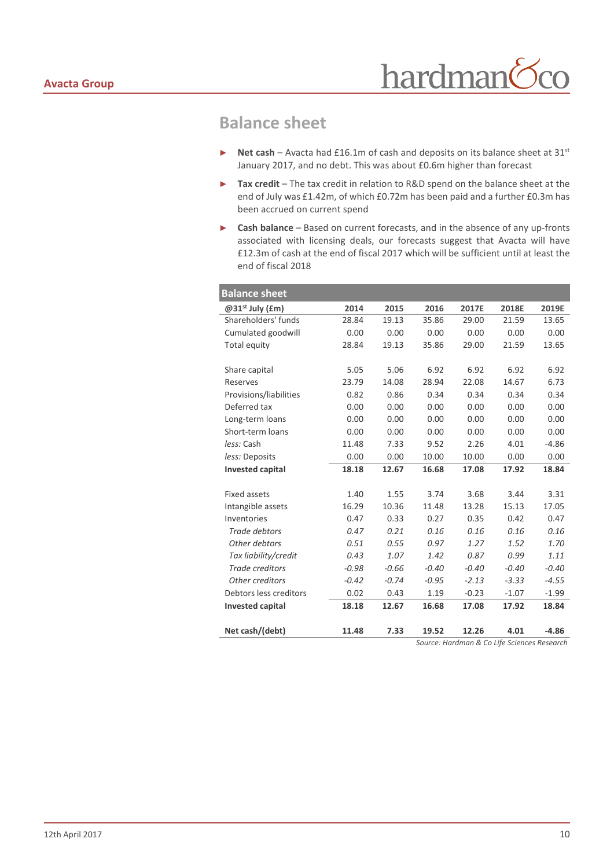## **Balance sheet**

- ► **Net cash** Avacta had £16.1m of cash and deposits on its balance sheet at 31st January 2017, and no debt. This was about £0.6m higher than forecast
- ► **Tax credit** The tax credit in relation to R&D spend on the balance sheet at the end of July was £1.42m, of which £0.72m has been paid and a further £0.3m has been accrued on current spend
- ► **Cash balance** Based on current forecasts, and in the absence of any up-fronts associated with licensing deals, our forecasts suggest that Avacta will have £12.3m of cash at the end of fiscal 2017 which will be sufficient until at least the end of fiscal 2018

| <b>Balance sheet</b>        |         |         |         |         |                                             |         |
|-----------------------------|---------|---------|---------|---------|---------------------------------------------|---------|
| @31 <sup>st</sup> July (£m) | 2014    | 2015    | 2016    | 2017E   | 2018E                                       | 2019E   |
| Shareholders' funds         | 28.84   | 19.13   | 35.86   | 29.00   | 21.59                                       | 13.65   |
| Cumulated goodwill          | 0.00    | 0.00    | 0.00    | 0.00    | 0.00                                        | 0.00    |
| Total equity                | 28.84   | 19.13   | 35.86   | 29.00   | 21.59                                       | 13.65   |
|                             |         |         |         |         |                                             |         |
| Share capital               | 5.05    | 5.06    | 6.92    | 6.92    | 6.92                                        | 6.92    |
| Reserves                    | 23.79   | 14.08   | 28.94   | 22.08   | 14.67                                       | 6.73    |
| Provisions/liabilities      | 0.82    | 0.86    | 0.34    | 0.34    | 0.34                                        | 0.34    |
| Deferred tax                | 0.00    | 0.00    | 0.00    | 0.00    | 0.00                                        | 0.00    |
| Long-term loans             | 0.00    | 0.00    | 0.00    | 0.00    | 0.00                                        | 0.00    |
| Short-term loans            | 0.00    | 0.00    | 0.00    | 0.00    | 0.00                                        | 0.00    |
| less: Cash                  | 11.48   | 7.33    | 9.52    | 2.26    | 4.01                                        | $-4.86$ |
| less: Deposits              | 0.00    | 0.00    | 10.00   | 10.00   | 0.00                                        | 0.00    |
| <b>Invested capital</b>     | 18.18   | 12.67   | 16.68   | 17.08   | 17.92                                       | 18.84   |
|                             |         |         |         |         |                                             |         |
| <b>Fixed assets</b>         | 1.40    | 1.55    | 3.74    | 3.68    | 3.44                                        | 3.31    |
| Intangible assets           | 16.29   | 10.36   | 11.48   | 13.28   | 15.13                                       | 17.05   |
| Inventories                 | 0.47    | 0.33    | 0.27    | 0.35    | 0.42                                        | 0.47    |
| Trade debtors               | 0.47    | 0.21    | 0.16    | 0.16    | 0.16                                        | 0.16    |
| Other debtors               | 0.51    | 0.55    | 0.97    | 1.27    | 1.52                                        | 1.70    |
| Tax liability/credit        | 0.43    | 1.07    | 1.42    | 0.87    | 0.99                                        | 1.11    |
| <b>Trade creditors</b>      | $-0.98$ | $-0.66$ | $-0.40$ | $-0.40$ | $-0.40$                                     | $-0.40$ |
| Other creditors             | $-0.42$ | $-0.74$ | $-0.95$ | $-2.13$ | $-3.33$                                     | $-4.55$ |
| Debtors less creditors      | 0.02    | 0.43    | 1.19    | $-0.23$ | $-1.07$                                     | $-1.99$ |
| <b>Invested capital</b>     | 18.18   | 12.67   | 16.68   | 17.08   | 17.92                                       | 18.84   |
|                             |         |         |         |         |                                             |         |
| Net cash/(debt)             | 11.48   | 7.33    | 19.52   | 12.26   | 4.01                                        | $-4.86$ |
|                             |         |         |         |         | Source: Hardman & Co Life Sciences Research |         |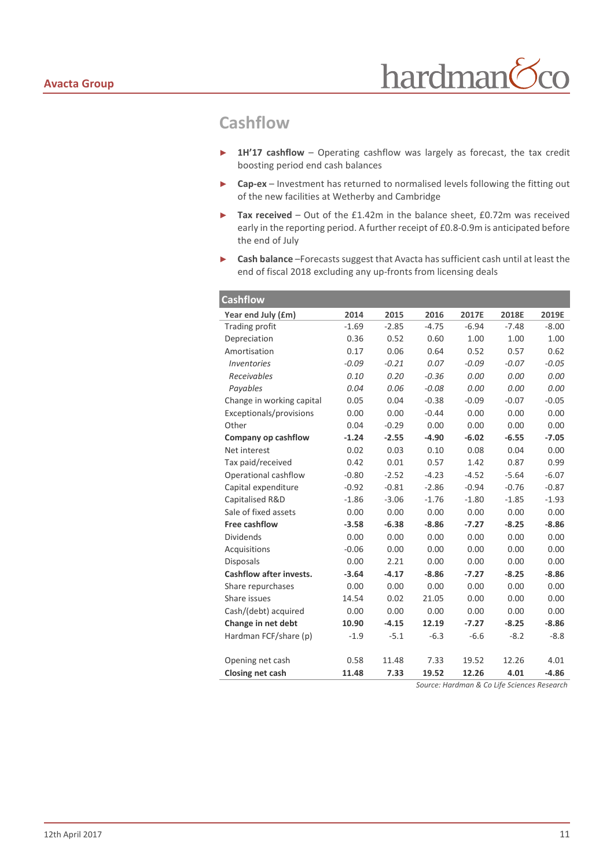## **Cashflow**

- ► **1H'17 cashflow** Operating cashflow was largely as forecast, the tax credit boosting period end cash balances
- ► **Cap-ex** Investment has returned to normalised levels following the fitting out of the new facilities at Wetherby and Cambridge
- ► **Tax received** Out of the £1.42m in the balance sheet, £0.72m was received early in the reporting period. A further receipt of £0.8-0.9m is anticipated before the end of July
- ► **Cash balance** –Forecasts suggest that Avacta has sufficient cash until at least the end of fiscal 2018 excluding any up-fronts from licensing deals

| <b>Cashflow</b>                      |         |         |         |         |         |         |
|--------------------------------------|---------|---------|---------|---------|---------|---------|
| Year end July (£m)                   | 2014    | 2015    | 2016    | 2017E   | 2018E   | 2019E   |
| <b>Trading profit</b>                | $-1.69$ | $-2.85$ | $-4.75$ | $-6.94$ | $-7.48$ | $-8.00$ |
| Depreciation                         | 0.36    | 0.52    | 0.60    | 1.00    | 1.00    | 1.00    |
| Amortisation                         | 0.17    | 0.06    | 0.64    | 0.52    | 0.57    | 0.62    |
| <i><u><b>Inventories</b></u></i>     | $-0.09$ | $-0.21$ | 0.07    | $-0.09$ | $-0.07$ | $-0.05$ |
| Receivables                          | 0.10    | 0.20    | $-0.36$ | 0.00    | 0.00    | 0.00    |
| Payables                             | 0.04    | 0.06    | $-0.08$ | 0.00    | 0.00    | 0.00    |
| Change in working capital            | 0.05    | 0.04    | $-0.38$ | $-0.09$ | $-0.07$ | $-0.05$ |
| Exceptionals/provisions              | 0.00    | 0.00    | $-0.44$ | 0.00    | 0.00    | 0.00    |
| Other                                | 0.04    | $-0.29$ | 0.00    | 0.00    | 0.00    | 0.00    |
| Company op cashflow                  | $-1.24$ | $-2.55$ | $-4.90$ | $-6.02$ | $-6.55$ | $-7.05$ |
| Net interest                         | 0.02    | 0.03    | 0.10    | 0.08    | 0.04    | 0.00    |
| Tax paid/received                    | 0.42    | 0.01    | 0.57    | 1.42    | 0.87    | 0.99    |
| Operational cashflow                 | $-0.80$ | $-2.52$ | $-4.23$ | $-4.52$ | $-5.64$ | $-6.07$ |
| Capital expenditure                  | $-0.92$ | $-0.81$ | $-2.86$ | $-0.94$ | $-0.76$ | $-0.87$ |
| Capitalised R&D                      | $-1.86$ | $-3.06$ | $-1.76$ | $-1.80$ | $-1.85$ | $-1.93$ |
| Sale of fixed assets                 | 0.00    | 0.00    | 0.00    | 0.00    | 0.00    | 0.00    |
| <b>Free cashflow</b>                 | $-3.58$ | $-6.38$ | $-8.86$ | $-7.27$ | $-8.25$ | $-8.86$ |
| <b>Dividends</b>                     | 0.00    | 0.00    | 0.00    | 0.00    | 0.00    | 0.00    |
| Acquisitions                         | $-0.06$ | 0.00    | 0.00    | 0.00    | 0.00    | 0.00    |
| <b>Disposals</b>                     | 0.00    | 2.21    | 0.00    | 0.00    | 0.00    | 0.00    |
| <b>Cashflow after invests.</b>       | $-3.64$ | $-4.17$ | $-8.86$ | $-7.27$ | $-8.25$ | $-8.86$ |
| Share repurchases                    | 0.00    | 0.00    | 0.00    | 0.00    | 0.00    | 0.00    |
| Share issues                         | 14.54   | 0.02    | 21.05   | 0.00    | 0.00    | 0.00    |
| Cash/(debt) acquired                 | 0.00    | 0.00    | 0.00    | 0.00    | 0.00    | 0.00    |
| Change in net debt                   | 10.90   | $-4.15$ | 12.19   | $-7.27$ | $-8.25$ | $-8.86$ |
| Hardman FCF/share (p)                | $-1.9$  | $-5.1$  | $-6.3$  | $-6.6$  | $-8.2$  | $-8.8$  |
|                                      | 0.58    | 11.48   | 7.33    | 19.52   | 12.26   | 4.01    |
| Opening net cash<br>Closing net cash | 11.48   | 7.33    | 19.52   | 12.26   | 4.01    | $-4.86$ |
|                                      |         |         |         |         |         |         |

*Source: Hardman & Co Life Sciences Research*